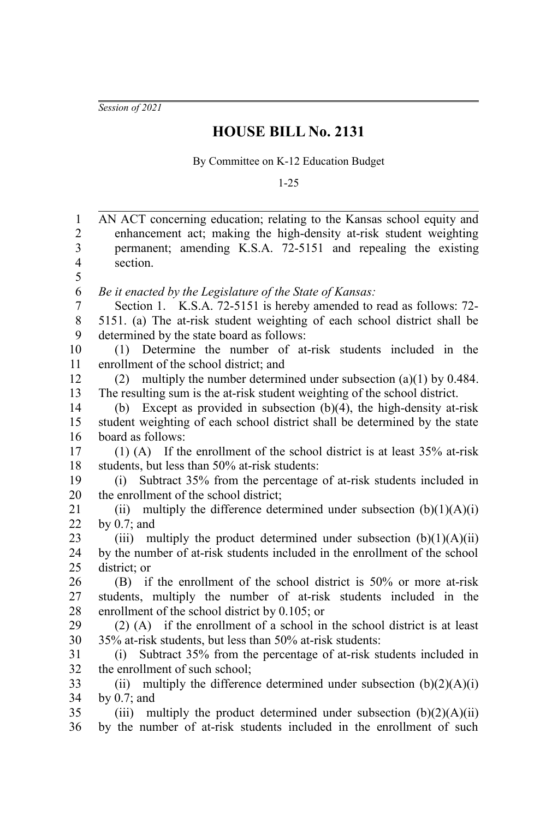*Session of 2021*

## **HOUSE BILL No. 2131**

By Committee on K-12 Education Budget

1-25

AN ACT concerning education; relating to the Kansas school equity and enhancement act; making the high-density at-risk student weighting permanent; amending K.S.A. 72-5151 and repealing the existing section. *Be it enacted by the Legislature of the State of Kansas:* Section 1. K.S.A. 72-5151 is hereby amended to read as follows: 72- 5151. (a) The at-risk student weighting of each school district shall be determined by the state board as follows: (1) Determine the number of at-risk students included in the enrollment of the school district; and (2) multiply the number determined under subsection (a)(1) by 0.484. The resulting sum is the at-risk student weighting of the school district. (b) Except as provided in subsection (b)(4), the high-density at-risk student weighting of each school district shall be determined by the state board as follows: (1) (A) If the enrollment of the school district is at least 35% at-risk students, but less than 50% at-risk students: (i) Subtract 35% from the percentage of at-risk students included in the enrollment of the school district; (ii) multiply the difference determined under subsection  $(b)(1)(A)(i)$ by 0.7; and (iii) multiply the product determined under subsection  $(b)(1)(A)(ii)$ by the number of at-risk students included in the enrollment of the school district; or (B) if the enrollment of the school district is 50% or more at-risk students, multiply the number of at-risk students included in the enrollment of the school district by 0.105; or (2) (A) if the enrollment of a school in the school district is at least 35% at-risk students, but less than 50% at-risk students: (i) Subtract 35% from the percentage of at-risk students included in the enrollment of such school; (ii) multiply the difference determined under subsection  $(b)(2)(A)(i)$ by 0.7; and (iii) multiply the product determined under subsection  $(b)(2)(A)(ii)$ by the number of at-risk students included in the enrollment of such 1 2 3 4 5 6 7 8 9 10 11 12 13 14 15 16 17 18 19 20 21 22 23 24 25 26 27 28 29 30 31 32 33 34 35 36